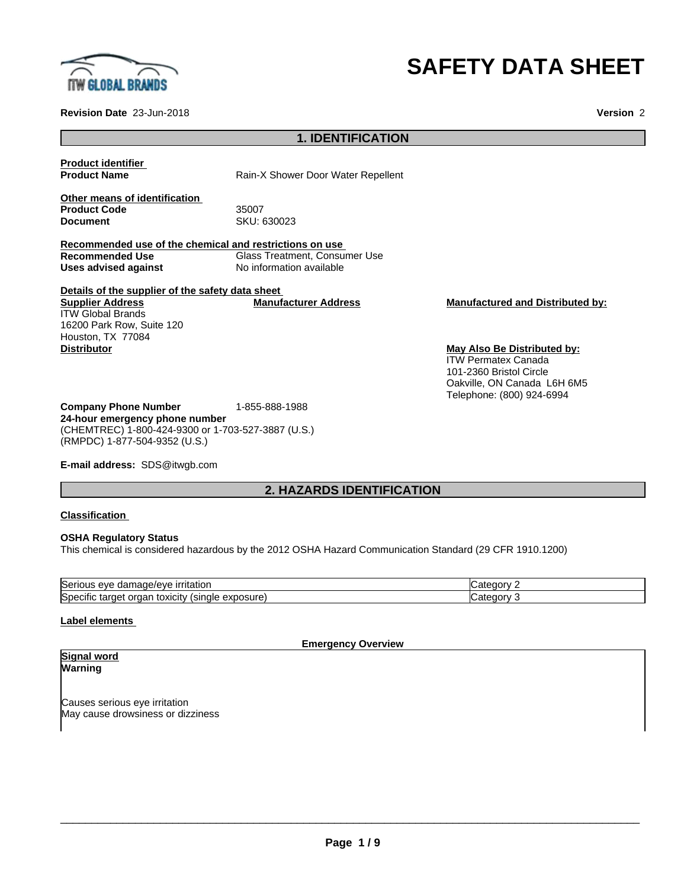

# **SAFETY DATA SHEET**

**Revision Date** 23-Jun-2018 **Version** 2

# **1. IDENTIFICATION**

**Product identifier**

**Product Name** Rain-X Shower Door Water Repellent

**Other means of identification Product Code 55007**<br> **Document** SKU: 6

**Document** SKU: 630023

**Recommended use of the chemical and restrictions on use Recommended Use**<br> **Uses advised against**<br> **No information available**<br> **No information available No information available** 

**Details of the supplier of the safety data sheet Supplier Address** ITW Global Brands 16200 Park Row, Suite 120 Houston, TX 77084 **Distributor May Also Be Distributed by:**

**Manufacturer Address Manufactured and Distributed by:**

ITW Permatex Canada 101-2360 Bristol Circle Oakville, ON Canada L6H 6M5 Telephone: (800) 924-6994

**Company Phone Number** 1-855-888-1988 **24-hour emergency phone number** (CHEMTREC) 1-800-424-9300 or 1-703-527-3887 (U.S.) (RMPDC) 1-877-504-9352 (U.S.)

**E-mail address:** SDS@itwgb.com

# **2. HAZARDS IDENTIFICATION**

# **Classification**

### **OSHA Regulatory Status**

This chemical is considered hazardous by the 2012 OSHA Hazard Communication Standard (29 CFR 1910.1200)

| <b>Seric</b><br><u>ırrıtatıor</u><br>eve<br>11111<br>м.<br>'<br>                                                     | ٦t.<br>10 H |  |
|----------------------------------------------------------------------------------------------------------------------|-------------|--|
| <b>Spec</b><br>. .<br>-xposure)<br>$\sim$<br>…∨XiCit∨ \<br>$\mathbf{v}$<br>single<br>`aar<br>7016<br>ш<br>ΩT<br>-lai | 10 H<br>.   |  |

# **Label elements**

#### **Emergency Overview**

#### **Signal word Warning**

Causes serious eye irritation May cause drowsiness or dizziness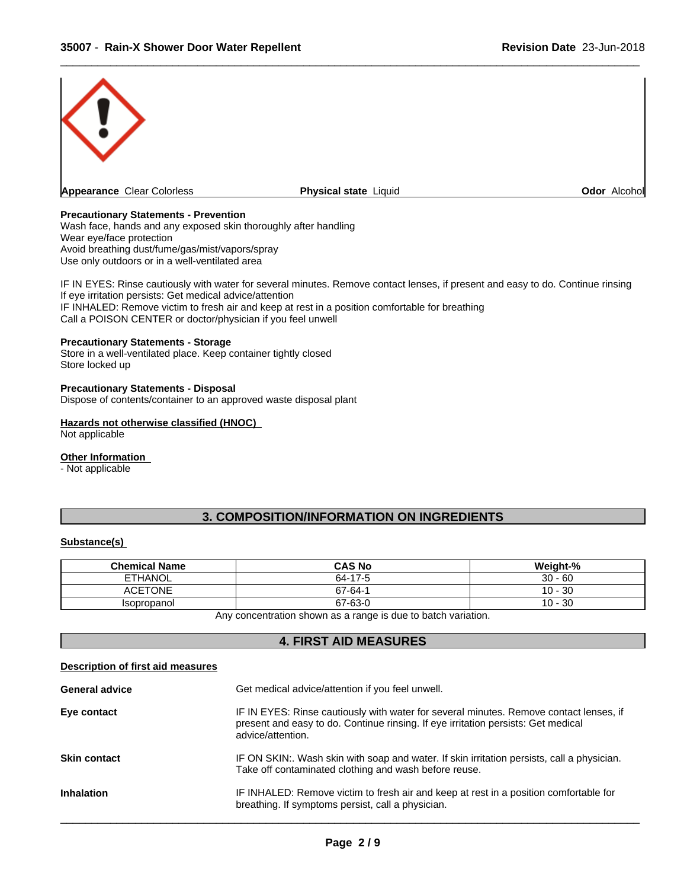

# **Precautionary Statements - Prevention**

Wash face, hands and any exposed skin thoroughly after handling Wear eye/face protection Avoid breathing dust/fume/gas/mist/vapors/spray Use only outdoors or in a well-ventilated area

IF IN EYES: Rinse cautiously with water for several minutes. Remove contact lenses, if present and easy to do. Continue rinsing If eye irritation persists: Get medical advice/attention IF INHALED: Remove victim to fresh air and keep at rest in a position comfortable for breathing Call a POISON CENTER or doctor/physician if you feel unwell

# **Precautionary Statements - Storage**

Store in a well-ventilated place. Keep container tightly closed Store locked up

# **Precautionary Statements - Disposal**

Dispose of contents/container to an approved waste disposal plant

# **Hazards not otherwise classified (HNOC)**

Not applicable

#### **Other Information**

- Not applicable

# **3. COMPOSITION/INFORMATION ON INGREDIENTS**

# **Substance(s)**

| <b>Chemical Name</b> | <b>CAS No</b> | Weight-%     |
|----------------------|---------------|--------------|
| <b>ETHANOL</b>       | 64-17-5       | $30 - 60$    |
| <b>ACETONE</b>       | 67-64-1       | $10 - 30$    |
| Isopropanol          | 67-63-0       | 30<br>$10 -$ |

Any concentration shown as a range is due to batch variation.

| <b>4. FIRST AID MEASURES</b>      |                                                                                                                                                                                                  |  |  |  |
|-----------------------------------|--------------------------------------------------------------------------------------------------------------------------------------------------------------------------------------------------|--|--|--|
| Description of first aid measures |                                                                                                                                                                                                  |  |  |  |
| <b>General advice</b>             | Get medical advice/attention if you feel unwell.                                                                                                                                                 |  |  |  |
| Eye contact                       | IF IN EYES: Rinse cautiously with water for several minutes. Remove contact lenses, if<br>present and easy to do. Continue rinsing. If eye irritation persists: Get medical<br>advice/attention. |  |  |  |
| <b>Skin contact</b>               | IF ON SKIN:. Wash skin with soap and water. If skin irritation persists, call a physician.<br>Take off contaminated clothing and wash before reuse.                                              |  |  |  |
| <b>Inhalation</b>                 | IF INHALED: Remove victim to fresh air and keep at rest in a position comfortable for<br>breathing. If symptoms persist, call a physician.                                                       |  |  |  |
|                                   |                                                                                                                                                                                                  |  |  |  |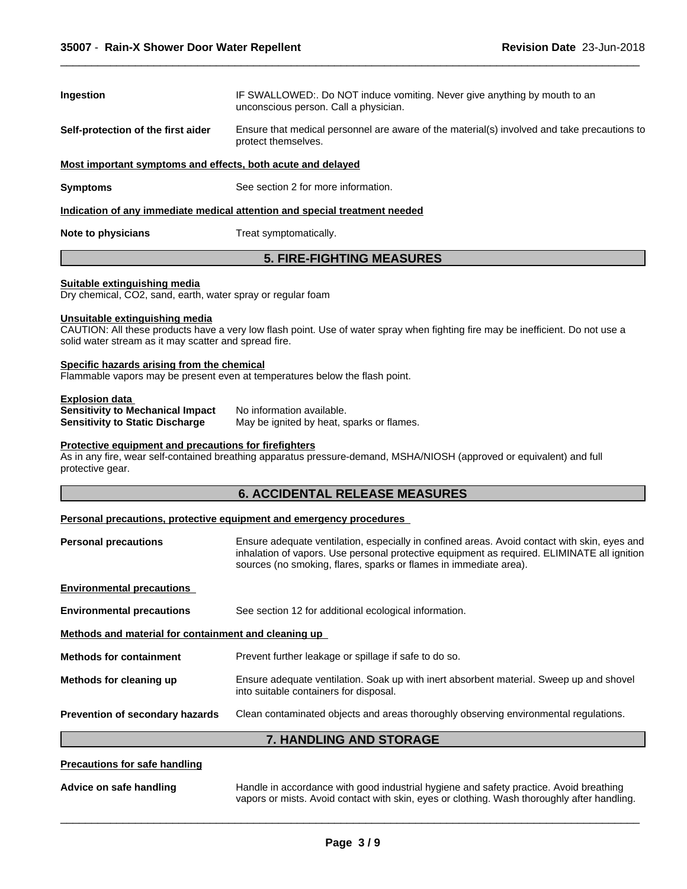| Ingestion                                                   | IF SWALLOWED: Do NOT induce vomiting. Never give anything by mouth to an<br>unconscious person. Call a physician.  |
|-------------------------------------------------------------|--------------------------------------------------------------------------------------------------------------------|
| Self-protection of the first aider                          | Ensure that medical personnel are aware of the material(s) involved and take precautions to<br>protect themselves. |
| Most important symptoms and effects, both acute and delayed |                                                                                                                    |
| Symptoms                                                    | See section 2 for more information.                                                                                |
|                                                             | Indication of any immediate medical attention and special treatment needed                                         |
| Note to physicians                                          | Treat symptomatically.                                                                                             |

# **5. FIRE-FIGHTING MEASURES**

## **Suitable extinguishing media**

Dry chemical, CO2, sand, earth, water spray or regular foam

## **Unsuitable extinguishing media**

CAUTION: All these products have a very low flash point. Use of water spray when fighting fire may be inefficient. Do not use a solid water stream as it may scatter and spread fire.

# **Specific hazards arising from the chemical**

Flammable vapors may be present even at temperatures below the flash point.

**Explosion data Sensitivity to Mechanical Impact** No information available.<br>**Sensitivity to Static Discharge** May be ignited by heat, s

May be ignited by heat, sparks or flames.

# **Protective equipment and precautions for firefighters**

As in any fire, wear self-contained breathing apparatus pressure-demand, MSHA/NIOSH (approved or equivalent) and full protective gear.

# **6. ACCIDENTAL RELEASE MEASURES**

# **Personal precautions, protective equipment and emergency procedures**

| <b>Personal precautions</b>                          | Ensure adequate ventilation, especially in confined areas. Avoid contact with skin, eyes and                                                                     |
|------------------------------------------------------|------------------------------------------------------------------------------------------------------------------------------------------------------------------|
|                                                      | inhalation of vapors. Use personal protective equipment as required. ELIMINATE all ignition<br>sources (no smoking, flares, sparks or flames in immediate area). |
| <b>Environmental precautions</b>                     |                                                                                                                                                                  |
| <b>Environmental precautions</b>                     | See section 12 for additional ecological information.                                                                                                            |
| Methods and material for containment and cleaning up |                                                                                                                                                                  |
| <b>Methods for containment</b>                       | Prevent further leakage or spillage if safe to do so.                                                                                                            |
| Methods for cleaning up                              | Ensure adequate ventilation. Soak up with inert absorbent material. Sweep up and shovel<br>into suitable containers for disposal.                                |
| Prevention of secondary hazards                      | Clean contaminated objects and areas thoroughly observing environmental regulations.                                                                             |
|                                                      | <b>7. HANDLING AND STORAGE</b>                                                                                                                                   |

**Advice on safe handling** Handle in accordance with good industrial hygiene and safety practice. Avoid breathing vapors or mists. Avoid contact with skin, eyes or clothing. Wash thoroughly after handling.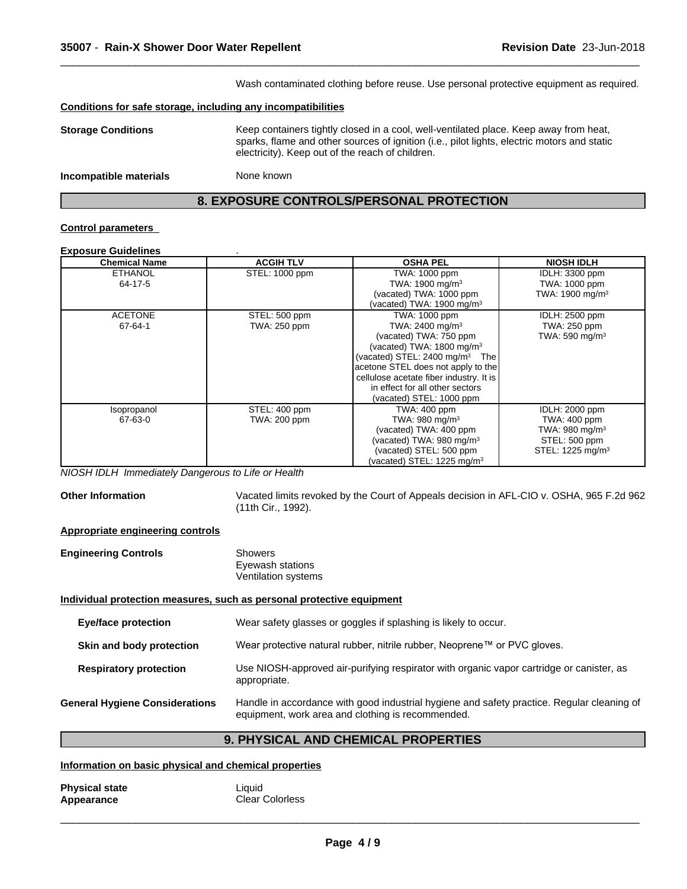| Wash contaminated clothing before reuse. Use personal protective equipment as required. |                                                                                                                                                                                                                                          |  |  |  |
|-----------------------------------------------------------------------------------------|------------------------------------------------------------------------------------------------------------------------------------------------------------------------------------------------------------------------------------------|--|--|--|
|                                                                                         | Conditions for safe storage, including any incompatibilities                                                                                                                                                                             |  |  |  |
| <b>Storage Conditions</b>                                                               | Keep containers tightly closed in a cool, well-ventilated place. Keep away from heat,<br>sparks, flame and other sources of ignition (i.e., pilot lights, electric motors and static<br>electricity). Keep out of the reach of children. |  |  |  |
| Incompatible materials                                                                  | None known                                                                                                                                                                                                                               |  |  |  |

# **8. EXPOSURE CONTROLS/PERSONAL PROTECTION**

# **Control parameters**

## **Exposure Guidelines** .

| <b>Chemical Name</b> | <b>ACGIH TLV</b>    | <b>OSHA PEL</b>                               | <b>NIOSH IDLH</b>            |
|----------------------|---------------------|-----------------------------------------------|------------------------------|
| <b>ETHANOL</b>       | STEL: 1000 ppm      | TWA: 1000 ppm                                 | IDLH: 3300 ppm               |
| 64-17-5              |                     | TWA: 1900 mg/m <sup>3</sup>                   | TWA: 1000 ppm                |
|                      |                     | (vacated) TWA: 1000 ppm                       | TWA: 1900 mg/m <sup>3</sup>  |
|                      |                     | (vacated) TWA: 1900 mg/m <sup>3</sup>         |                              |
| <b>ACETONE</b>       | STEL: 500 ppm       | TWA: 1000 ppm                                 | IDLH: 2500 ppm               |
| 67-64-1              | <b>TWA: 250 ppm</b> | TWA: 2400 mg/m <sup>3</sup>                   | TWA: 250 ppm                 |
|                      |                     | (vacated) TWA: 750 ppm                        | TWA: 590 mg/m <sup>3</sup>   |
|                      |                     | (vacated) TWA: 1800 mg/m <sup>3</sup>         |                              |
|                      |                     | (vacated) STEL: 2400 mg/m <sup>3</sup><br>The |                              |
|                      |                     | acetone STEL does not apply to the            |                              |
|                      |                     | cellulose acetate fiber industry. It is       |                              |
|                      |                     | in effect for all other sectors               |                              |
|                      |                     | (vacated) STEL: 1000 ppm                      |                              |
| Isopropanol          | STEL: 400 ppm       | TWA: 400 ppm                                  | IDLH: 2000 ppm               |
| 67-63-0              | TWA: 200 ppm        | TWA: 980 mg/m <sup>3</sup>                    | TWA: 400 ppm                 |
|                      |                     | (vacated) TWA: 400 ppm                        | TWA: 980 mg/m <sup>3</sup>   |
|                      |                     | (vacated) TWA: 980 mg/m <sup>3</sup>          | STEL: 500 ppm                |
|                      |                     | (vacated) STEL: 500 ppm                       | STEL: 1225 mg/m <sup>3</sup> |
|                      |                     | (vacated) STEL: 1225 mg/m <sup>3</sup>        |                              |

*NIOSH IDLH Immediately Dangerous to Life or Health*

**Other Information** Vacated limits revoked by the Court of Appeals decision in AFL-CIO v.OSHA, 965 F.2d 962 (11th Cir., 1992).

# **Appropriate engineering controls**

| <b>Engineering Controls</b> | Showers             |  |
|-----------------------------|---------------------|--|
|                             | Eyewash stations    |  |
|                             | Ventilation systems |  |

# **Individual protection measures, such as personal protective equipment**

| Eye/face protection                   | Wear safety glasses or goggles if splashing is likely to occur.                                                                                 |  |
|---------------------------------------|-------------------------------------------------------------------------------------------------------------------------------------------------|--|
| Skin and body protection              | Wear protective natural rubber, nitrile rubber, Neoprene™ or PVC gloves.                                                                        |  |
| <b>Respiratory protection</b>         | Use NIOSH-approved air-purifying respirator with organic vapor cartridge or canister, as<br>appropriate.                                        |  |
| <b>General Hygiene Considerations</b> | Handle in accordance with good industrial hygiene and safety practice. Regular cleaning of<br>equipment, work area and clothing is recommended. |  |

# **9. PHYSICAL AND CHEMICAL PROPERTIES**

# **Information on basic physical and chemical properties**

| <b>Physical state</b> | Liquid                 |
|-----------------------|------------------------|
| Appearance            | <b>Clear Colorless</b> |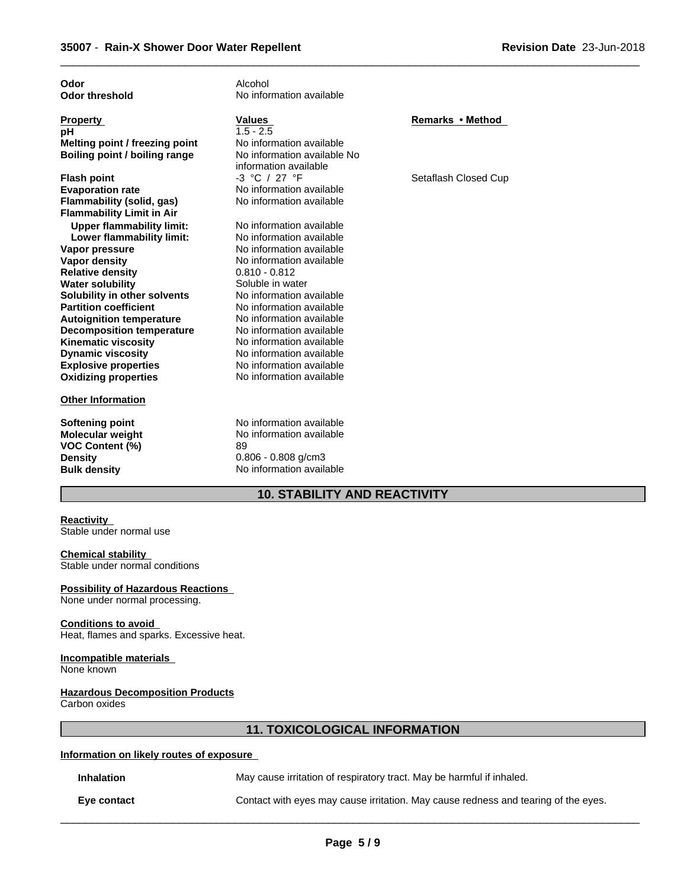| Odor                             | Alcohol                     |                      |
|----------------------------------|-----------------------------|----------------------|
| <b>Odor threshold</b>            | No information available    |                      |
|                                  |                             |                      |
| <b>Property</b>                  | <b>Values</b>               | Remarks • Method     |
| рH                               | $1.5 - 2.5$                 |                      |
| Melting point / freezing point   | No information available    |                      |
| Boiling point / boiling range    | No information available No |                      |
|                                  | information available       |                      |
| <b>Flash point</b>               | $-3$ °C / 27 °F             | Setaflash Closed Cup |
| <b>Evaporation rate</b>          | No information available    |                      |
| Flammability (solid, gas)        | No information available    |                      |
| <b>Flammability Limit in Air</b> |                             |                      |
| <b>Upper flammability limit:</b> | No information available    |                      |
| Lower flammability limit:        | No information available    |                      |
| Vapor pressure                   | No information available    |                      |
| <b>Vapor density</b>             | No information available    |                      |
| <b>Relative density</b>          | $0.810 - 0.812$             |                      |
| <b>Water solubility</b>          | Soluble in water            |                      |
| Solubility in other solvents     | No information available    |                      |
| <b>Partition coefficient</b>     | No information available    |                      |
| <b>Autoignition temperature</b>  | No information available    |                      |
| <b>Decomposition temperature</b> | No information available    |                      |
| <b>Kinematic viscosity</b>       | No information available    |                      |
| <b>Dynamic viscosity</b>         | No information available    |                      |
| <b>Explosive properties</b>      | No information available    |                      |
| <b>Oxidizing properties</b>      | No information available    |                      |
| <b>Other Information</b>         |                             |                      |
|                                  |                             |                      |
| <b>Softening point</b>           | No information available    |                      |
| <b>Molecular weight</b>          | No information available    |                      |
| <b>VOC Content (%)</b>           | 89                          |                      |
| <b>Density</b>                   | $0.806 - 0.808$ g/cm3       |                      |
| <b>Bulk density</b>              | No information available    |                      |

# **10. STABILITY AND REACTIVITY**

#### **Reactivity**

Stable under normal use

# **Chemical stability**

Stable under normal conditions

# **Possibility of Hazardous Reactions**

None under normal processing.

# **Conditions to avoid**

Heat, flames and sparks. Excessive heat.

## **Incompatible materials**

None known

#### **Hazardous Decomposition Products**

Carbon oxides

# **11. TOXICOLOGICAL INFORMATION**

# **Information on likely routes of exposure**

**Inhalation** May cause irritation of respiratory tract. May be harmful if inhaled.

 $\overline{\phantom{a}}$  ,  $\overline{\phantom{a}}$  ,  $\overline{\phantom{a}}$  ,  $\overline{\phantom{a}}$  ,  $\overline{\phantom{a}}$  ,  $\overline{\phantom{a}}$  ,  $\overline{\phantom{a}}$  ,  $\overline{\phantom{a}}$  ,  $\overline{\phantom{a}}$  ,  $\overline{\phantom{a}}$  ,  $\overline{\phantom{a}}$  ,  $\overline{\phantom{a}}$  ,  $\overline{\phantom{a}}$  ,  $\overline{\phantom{a}}$  ,  $\overline{\phantom{a}}$  ,  $\overline{\phantom{a}}$ 

**Eye contact** Contact with eyes may cause irritation. May cause redness and tearing of the eyes.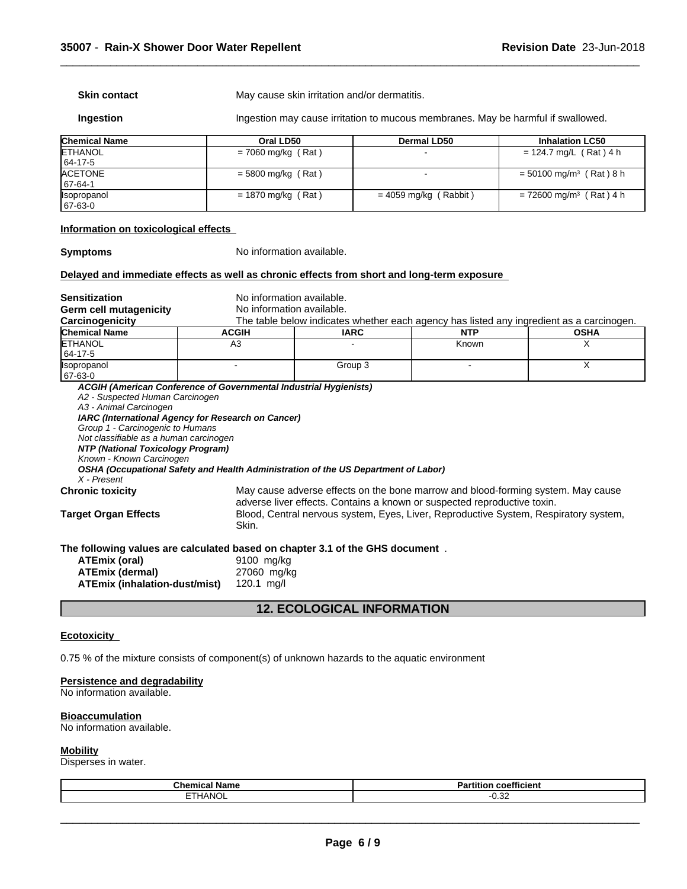**Skin contact** May cause skin irritation and/or dermatitis.

**Ingestion** Ingestion may cause irritation to mucous membranes. May be harmful if swallowed.

 $\overline{\phantom{a}}$  ,  $\overline{\phantom{a}}$  ,  $\overline{\phantom{a}}$  ,  $\overline{\phantom{a}}$  ,  $\overline{\phantom{a}}$  ,  $\overline{\phantom{a}}$  ,  $\overline{\phantom{a}}$  ,  $\overline{\phantom{a}}$  ,  $\overline{\phantom{a}}$  ,  $\overline{\phantom{a}}$  ,  $\overline{\phantom{a}}$  ,  $\overline{\phantom{a}}$  ,  $\overline{\phantom{a}}$  ,  $\overline{\phantom{a}}$  ,  $\overline{\phantom{a}}$  ,  $\overline{\phantom{a}}$ 

| <b>Chemical Name</b> | Oral LD50            | <b>Dermal LD50</b>      | <b>Inhalation LC50</b>                |
|----------------------|----------------------|-------------------------|---------------------------------------|
| <b>ETHANOL</b>       | $= 7060$ mg/kg (Rat) |                         | $= 124.7$ mg/L (Rat) 4 h              |
| 64-17-5              |                      |                         |                                       |
| <b>ACETONE</b>       | $=$ 5800 mg/kg (Rat) |                         | $= 50100$ mg/m <sup>3</sup> (Rat) 8 h |
| 67-64-1              |                      |                         |                                       |
| <b>Isopropanol</b>   | $= 1870$ mg/kg (Rat) | $= 4059$ mg/kg (Rabbit) | $= 72600$ mg/m <sup>3</sup> (Rat) 4 h |
| 67-63-0              |                      |                         |                                       |

# **Information on toxicological effects**

**Symptoms** No information available.

# **Delayed and immediate effects as well as chronic effects from short and long-term exposure**

**Sensitization**<br> **Serm cell mutagenicity**<br> **No information available.**<br>
No information available.

**Germ cell mutagenicity<br>Carcinogenicity** 

The table below indicates whether each agency has listed any ingredient as a carcinogen.

| <b>Chemical Name</b>      | <b>ACGIH</b> | <b>IARC</b> | <b>NTP</b> | <b>OSHA</b> |
|---------------------------|--------------|-------------|------------|-------------|
| <b>ETHANOL</b>            | nυ           |             | Known      | . .         |
| 64-17-5                   |              |             |            |             |
| <i><b>Isopropanol</b></i> |              | Group 3     |            | . .         |
| 67-63-0                   |              |             |            |             |

*ACGIH (American Conference of Governmental Industrial Hygienists) A2 - Suspected Human Carcinogen A3 - Animal Carcinogen IARC (International Agency for Research on Cancer) Group 1 - Carcinogenic to Humans Not classifiable as a human carcinogen NTP (National Toxicology Program) Known - Known Carcinogen OSHA (Occupational Safety and Health Administration of the US Department of Labor) X - Present* **Chronic toxicity** May cause adverse effects on the bone marrow and blood-forming system. May cause adverse liver effects. Contains a known or suspected reproductive toxin. **Target Organ Effects** Blood, Central nervous system, Eyes, Liver, Reproductive System, Respiratory system, Skin.

# **The following values are calculated based on chapter 3.1 of the GHS document** .

| ATEmix (oral)                 | 9100 mg/kg   |
|-------------------------------|--------------|
| <b>ATEmix (dermal)</b>        | 27060 mg/kg  |
| ATEmix (inhalation-dust/mist) | 120.1 $mq/l$ |

**12. ECOLOGICAL INFORMATION**

#### **Ecotoxicity**

0.75 % of the mixture consists of component(s) of unknown hazards to the aquatic environment

# **Persistence and degradability**

No information available.

#### **Bioaccumulation**

No information available.

# **Mobility**

Disperses in water.

| .<br><b>Chemical</b><br>I Name | $- - -$<br>.<br>Partition<br>coefficient |
|--------------------------------|------------------------------------------|
| <b>ETHANOL</b>                 | .00<br>ບ.ບ∠                              |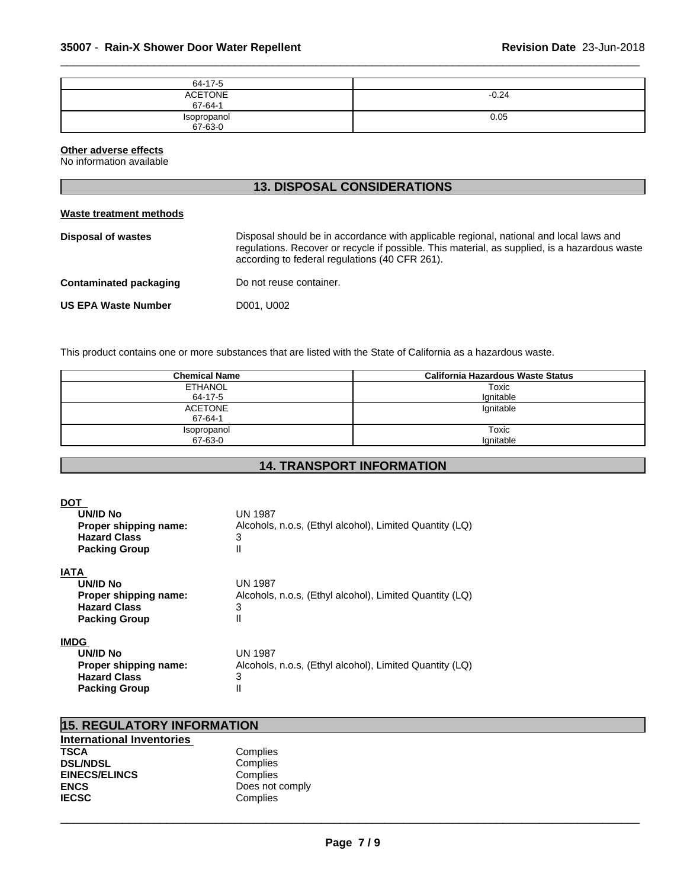| 64-17-5                   |         |
|---------------------------|---------|
| <b>ACETONE</b><br>67-64-1 | $-0.24$ |
| Isopropanol<br>67-63-0    | 0.05    |

#### **Other adverse effects**

No information available

| <b>13. DISPOSAL CONSIDERATIONS</b> |                                                                                                                                                                                                                                           |  |
|------------------------------------|-------------------------------------------------------------------------------------------------------------------------------------------------------------------------------------------------------------------------------------------|--|
| Waste treatment methods            |                                                                                                                                                                                                                                           |  |
| Disposal of wastes                 | Disposal should be in accordance with applicable regional, national and local laws and<br>regulations. Recover or recycle if possible. This material, as supplied, is a hazardous waste<br>according to federal regulations (40 CFR 261). |  |
| <b>Contaminated packaging</b>      | Do not reuse container.                                                                                                                                                                                                                   |  |
| <b>US EPA Waste Number</b>         | D001, U002                                                                                                                                                                                                                                |  |
|                                    |                                                                                                                                                                                                                                           |  |

This product contains one or more substances that are listed with the State of California as a hazardous waste.

| <b>Chemical Name</b> | <b>California Hazardous Waste Status</b> |
|----------------------|------------------------------------------|
| ETHANOL              | Toxic                                    |
| 64-17-5              | Ignitable                                |
| <b>ACETONE</b>       | Ignitable                                |
| 67-64-1              |                                          |
| Isopropanol          | Toxic                                    |
| 67-63-0              | lgnitable                                |

# **14. TRANSPORT INFORMATION**

| DOT<br>UN/ID No<br>Proper shipping name:<br><b>Hazard Class</b><br><b>Packing Group</b>         | UN 1987<br>Alcohols, n.o.s. (Ethyl alcohol), Limited Quantity (LQ)<br>3<br>Ш        |
|-------------------------------------------------------------------------------------------------|-------------------------------------------------------------------------------------|
| <b>IATA</b><br>UN/ID No<br>Proper shipping name:<br><b>Hazard Class</b><br><b>Packing Group</b> | <b>UN 1987</b><br>Alcohols, n.o.s. (Ethyl alcohol), Limited Quantity (LQ)<br>3<br>Ш |
| <b>IMDG</b><br>UN/ID No<br>Proper shipping name:<br><b>Hazard Class</b><br><b>Packing Group</b> | <b>UN 1987</b><br>Alcohols, n.o.s. (Ethyl alcohol), Limited Quantity (LQ)<br>3<br>Ш |

| <b>15. REGULATORY INFORMATION</b> |                 |  |
|-----------------------------------|-----------------|--|
| International Inventories         |                 |  |
| <b>TSCA</b>                       | Complies        |  |
| <b>DSL/NDSL</b>                   | Complies        |  |
| <b>EINECS/ELINCS</b>              | Complies        |  |
| <b>ENCS</b>                       | Does not comply |  |
| <b>IECSC</b>                      | Complies        |  |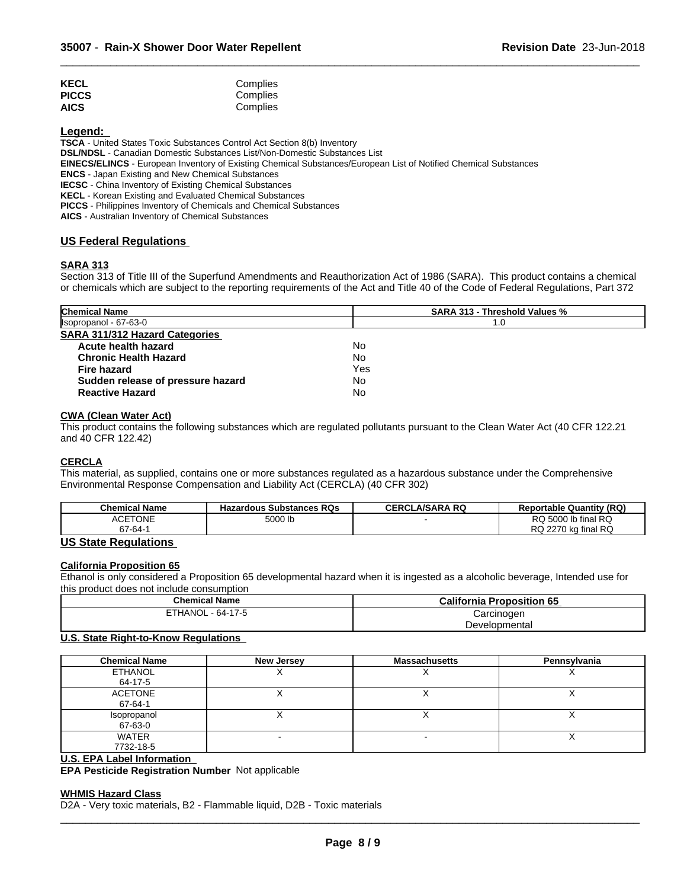| <b>KECL</b>  | Complies |  |
|--------------|----------|--|
| <b>PICCS</b> | Complies |  |
| <b>AICS</b>  | Complies |  |

**Legend:** 

**TSCA** - United States Toxic Substances Control Act Section 8(b) Inventory

**DSL/NDSL** - Canadian Domestic Substances List/Non-Domestic Substances List

**EINECS/ELINCS** - European Inventory of Existing Chemical Substances/European List of Notified Chemical Substances

**ENCS** - Japan Existing and New Chemical Substances

**IECSC** - China Inventory of Existing Chemical Substances

**KECL** - Korean Existing and Evaluated Chemical Substances

**PICCS** - Philippines Inventory of Chemicals and Chemical Substances

**AICS** - Australian Inventory of Chemical Substances

# **US Federal Regulations**

# **SARA 313**

Section 313 of Title III of the Superfund Amendments and Reauthorization Act of 1986 (SARA). This product contains a chemical or chemicals which are subject to the reporting requirements of the Act and Title 40 of the Code of Federal Regulations, Part 372

 $\overline{\phantom{a}}$  ,  $\overline{\phantom{a}}$  ,  $\overline{\phantom{a}}$  ,  $\overline{\phantom{a}}$  ,  $\overline{\phantom{a}}$  ,  $\overline{\phantom{a}}$  ,  $\overline{\phantom{a}}$  ,  $\overline{\phantom{a}}$  ,  $\overline{\phantom{a}}$  ,  $\overline{\phantom{a}}$  ,  $\overline{\phantom{a}}$  ,  $\overline{\phantom{a}}$  ,  $\overline{\phantom{a}}$  ,  $\overline{\phantom{a}}$  ,  $\overline{\phantom{a}}$  ,  $\overline{\phantom{a}}$ 

| <b>Chemical Name</b>                  | <b>SARA 313 - Threshold Values %</b> |  |
|---------------------------------------|--------------------------------------|--|
| Isopropanol - 67-63-0                 | 1.0                                  |  |
| <b>SARA 311/312 Hazard Categories</b> |                                      |  |
| Acute health hazard                   | No                                   |  |
| <b>Chronic Health Hazard</b>          | No                                   |  |
| <b>Fire hazard</b>                    | Yes                                  |  |
| Sudden release of pressure hazard     | No                                   |  |
| <b>Reactive Hazard</b>                | No                                   |  |

# **CWA** (Clean Water Act)

This product contains the following substances which are regulated pollutants pursuant to the Clean Water Act (40 CFR 122.21 and 40 CFR 122.42)

#### **CERCLA**

This material, as supplied, contains one or more substances regulated as a hazardous substance under the Comprehensive Environmental Response Compensation and Liability Act (CERCLA) (40 CFR 302)

| <b>Chemical Name</b> | <b>Hazardous Substances RQs</b> | LA/SARA RQ<br>CERCL | <b>Reportable Quantity (RQ)</b>  |
|----------------------|---------------------------------|---------------------|----------------------------------|
| <b>ACETONE</b>       | 5000 lb<br>$  -$                |                     | Ib final RQ<br>RQ 5000           |
| 67-64-               |                                 |                     | kg final RQ<br><b>RQ</b><br>2270 |

# **US State Regulations**

# **California Proposition 65**

Ethanol is only considered a Proposition 65 developmental hazard when it is ingested as a alcoholic beverage, Intended use for this product does not include consumption

| <b>Chemical Name</b>         | <b>California Proposition 65</b> |  |
|------------------------------|----------------------------------|--|
| <b>ETHANOL</b><br>$-64-17-5$ | Carcinoden                       |  |
|                              | Developmental                    |  |

# **U.S. State Right-to-Know Regulations**

| <b>Chemical Name</b> | <b>New Jersey</b> | <b>Massachusetts</b> | Pennsylvania |
|----------------------|-------------------|----------------------|--------------|
| <b>ETHANOL</b>       |                   |                      |              |
| 64-17-5              |                   |                      |              |
| ACETONE              |                   |                      |              |
| 67-64-1              |                   |                      |              |
| Isopropanol          |                   |                      |              |
| 67-63-0              |                   |                      |              |
| WATER                |                   |                      |              |
| 7732-18-5            |                   |                      |              |

# **U.S. EPA Label Information**

**EPA Pesticide Registration Number** Not applicable

#### **WHMIS Hazard Class**

D2A - Very toxic materials, B2 - Flammable liquid, D2B - Toxic materials